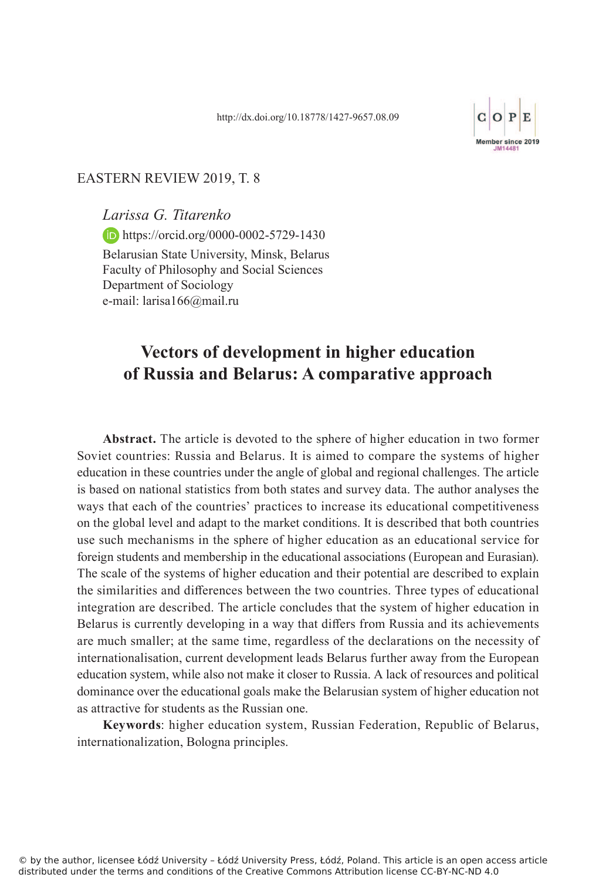

#### EASTERN REVIEW 2019, T. 8

*Larissa G. Titarenko* **https://orcid.org/0000-0002-5729-1430** Belarusian State University, Minsk, Belarus Faculty of Philosophy and Social Sciences Department of Sociology e-mail: larisa166@mail.ru

# **Vectors of development in higher education of Russia and Belarus: A comparative approach**

**Abstract.** The article is devoted to the sphere of higher education in two former Soviet countries: Russia and Belarus. It is aimed to compare the systems of higher education in these countries under the angle of global and regional challenges. The article is based on national statistics from both states and survey data. The author analyses the ways that each of the countries' practices to increase its educational competitiveness on the global level and adapt to the market conditions. It is described that both countries use such mechanisms in the sphere of higher education as an educational service for foreign students and membership in the educational associations (European and Eurasian). The scale of the systems of higher education and their potential are described to explain the similarities and differences between the two countries. Three types of educational integration are described. The article concludes that the system of higher education in Belarus is currently developing in a way that differs from Russia and its achievements are much smaller; at the same time, regardless of the declarations on the necessity of internationalisation, current development leads Belarus further away from the European education system, while also not make it closer to Russia. A lack of resources and political dominance over the educational goals make the Belarusian system of higher education not as attractive for students as the Russian one.

**Keywords**: higher education system, Russian Federation, Republic of Belarus, internationalization, Bologna principles.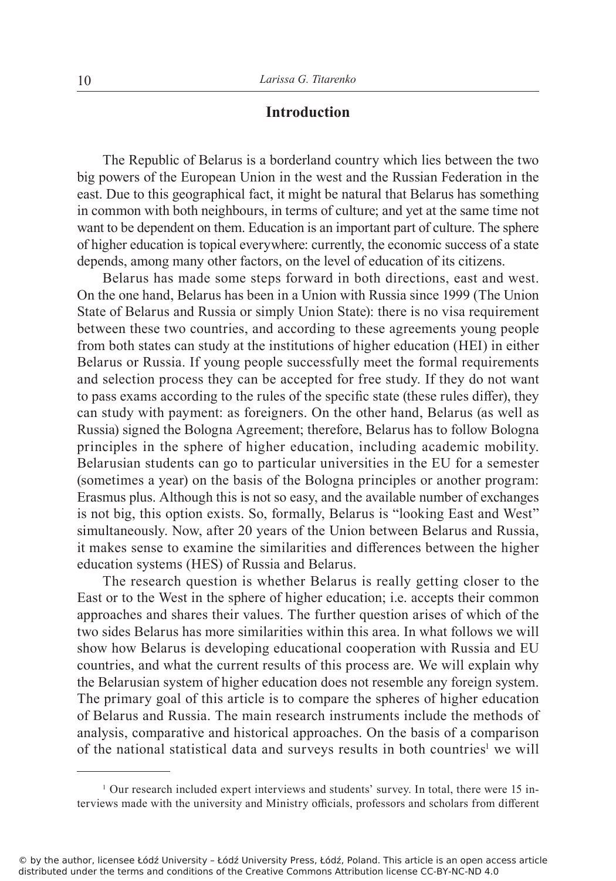# **Introduction**

The Republic of Belarus is a borderland country which lies between the two big powers of the European Union in the west and the Russian Federation in the east. Due to this geographical fact, it might be natural that Belarus has something in common with both neighbours, in terms of culture; and yet at the same time not want to be dependent on them. Education is an important part of culture. The sphere of higher education is topical everywhere: currently, the economic success of a state depends, among many other factors, on the level of education of its citizens.

Belarus has made some steps forward in both directions, east and west. On the one hand, Belarus has been in a Union with Russia since 1999 (The Union State of Belarus and Russia or simply Union State): there is no visa requirement between these two countries, and according to these agreements young people from both states can study at the institutions of higher education (HEI) in either Belarus or Russia. If young people successfully meet the formal requirements and selection process they can be accepted for free study. If they do not want to pass exams according to the rules of the specific state (these rules differ), they can study with payment: as foreigners. On the other hand, Belarus (as well as Russia) signed the Bologna Agreement; therefore, Belarus has to follow Bologna principles in the sphere of higher education, including academic mobility. Belarusian students can go to particular universities in the EU for a semester (sometimes a year) on the basis of the Bologna principles or another program: Erasmus plus. Although this is not so easy, and the available number of exchanges is not big, this option exists. So, formally, Belarus is "looking East and West" simultaneously. Now, after 20 years of the Union between Belarus and Russia, it makes sense to examine the similarities and differences between the higher education systems (HES) of Russia and Belarus.

The research question is whether Belarus is really getting closer to the East or to the West in the sphere of higher education; i.e. accepts their common approaches and shares their values. The further question arises of which of the two sides Belarus has more similarities within this area. In what follows we will show how Belarus is developing educational cooperation with Russia and EU countries, and what the current results of this process are. We will explain why the Belarusian system of higher education does not resemble any foreign system. The primary goal of this article is to compare the spheres of higher education of Belarus and Russia. The main research instruments include the methods of analysis, comparative and historical approaches. On the basis of a comparison of the national statistical data and surveys results in both countries<sup>1</sup> we will

<sup>1</sup> Our research included expert interviews and students' survey. In total, there were 15 interviews made with the university and Ministry officials, professors and scholars from different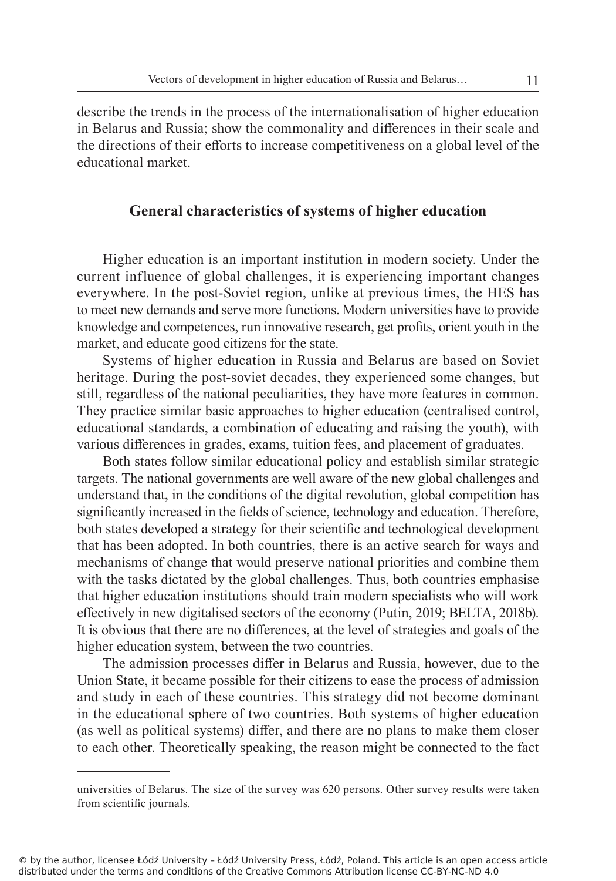describe the trends in the process of the internationalisation of higher education in Belarus and Russia; show the commonality and differences in their scale and the directions of their efforts to increase competitiveness on a global level of the educational market.

# **General characteristics of systems of higher education**

Higher education is an important institution in modern society. Under the current influence of global challenges, it is experiencing important changes everywhere. In the post-Soviet region, unlike at previous times, the HES has to meet new demands and serve more functions. Modern universities have to provide knowledge and competences, run innovative research, get profits, orient youth in the market, and educate good citizens for the state.

Systems of higher education in Russia and Belarus are based on Soviet heritage. During the post-soviet decades, they experienced some changes, but still, regardless of the national peculiarities, they have more features in common. They practice similar basic approaches to higher education (centralised control, educational standards, a combination of educating and raising the youth), with various differences in grades, exams, tuition fees, and placement of graduates.

Both states follow similar educational policy and establish similar strategic targets. The national governments are well aware of the new global challenges and understand that, in the conditions of the digital revolution, global competition has significantly increased in the fields of science, technology and education. Therefore, both states developed a strategy for their scientific and technological development that has been adopted. In both countries, there is an active search for ways and mechanisms of change that would preserve national priorities and combine them with the tasks dictated by the global challenges. Thus, both countries emphasise that higher education institutions should train modern specialists who will work effectively in new digitalised sectors of the economy (Putin, 2019; BELTA, 2018b). It is obvious that there are no differences, at the level of strategies and goals of the higher education system, between the two countries.

The admission processes differ in Belarus and Russia, however, due to the Union State, it became possible for their citizens to ease the process of admission and study in each of these countries. This strategy did not become dominant in the educational sphere of two countries. Both systems of higher education (as well as political systems) differ, and there are no plans to make them closer to each other. Theoretically speaking, the reason might be connected to the fact

universities of Belarus. The size of the survey was 620 persons. Other survey results were taken from scientific journals.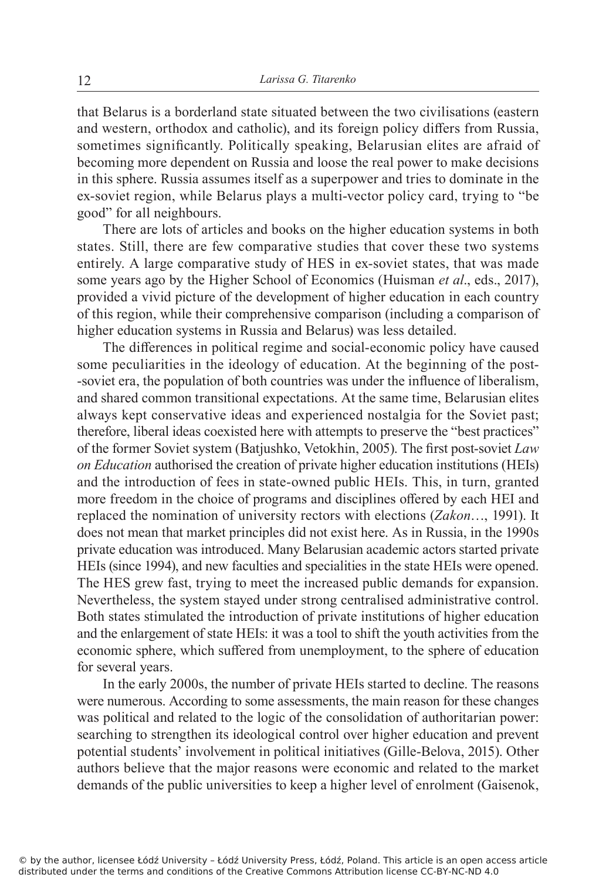that Belarus is a borderland state situated between the two civilisations (eastern and western, orthodox and catholic), and its foreign policy differs from Russia, sometimes significantly. Politically speaking, Belarusian elites are afraid of becoming more dependent on Russia and loose the real power to make decisions in this sphere. Russia assumes itself as a superpower and tries to dominate in the ex-soviet region, while Belarus plays a multi-vector policy card, trying to "be good" for all neighbours.

There are lots of articles and books on the higher education systems in both states. Still, there are few comparative studies that cover these two systems entirely. A large comparative study of HES in ex-soviet states, that was made some years ago by the Higher School of Economics (Huisman *et al*., eds., 2017), provided a vivid picture of the development of higher education in each country of this region, while their comprehensive comparison (including a comparison of higher education systems in Russia and Belarus) was less detailed.

The differences in political regime and social-economic policy have caused some peculiarities in the ideology of education. At the beginning of the post- -soviet era, the population of both countries was under the influence of liberalism, and shared common transitional expectations. At the same time, Belarusian elites always kept conservative ideas and experienced nostalgia for the Soviet past; therefore, liberal ideas coexisted here with attempts to preserve the "best practices" of the former Soviet system (Batjushko, Vetokhin, 2005). The first post-soviet *Law on Education* authorised the creation of private higher education institutions (HEIs) and the introduction of fees in state-owned public HEIs. This, in turn, granted more freedom in the choice of programs and disciplines offered by each HEI and replaced the nomination of university rectors with elections (*Zakon*…, 1991). It does not mean that market principles did not exist here. As in Russia, in the 1990s private education was introduced. Many Belarusian academic actors started private HEIs (since 1994), and new faculties and specialities in the state HEIs were opened. The HES grew fast, trying to meet the increased public demands for expansion. Nevertheless, the system stayed under strong centralised administrative control. Both states stimulated the introduction of private institutions of higher education and the enlargement of state HEIs: it was a tool to shift the youth activities from the economic sphere, which suffered from unemployment, to the sphere of education for several years.

In the early 2000s, the number of private HEIs started to decline. The reasons were numerous. According to some assessments, the main reason for these changes was political and related to the logic of the consolidation of authoritarian power: searching to strengthen its ideological control over higher education and prevent potential students' involvement in political initiatives (Gille-Belova, 2015). Other authors believe that the major reasons were economic and related to the market demands of the public universities to keep a higher level of enrolment (Gaisenok,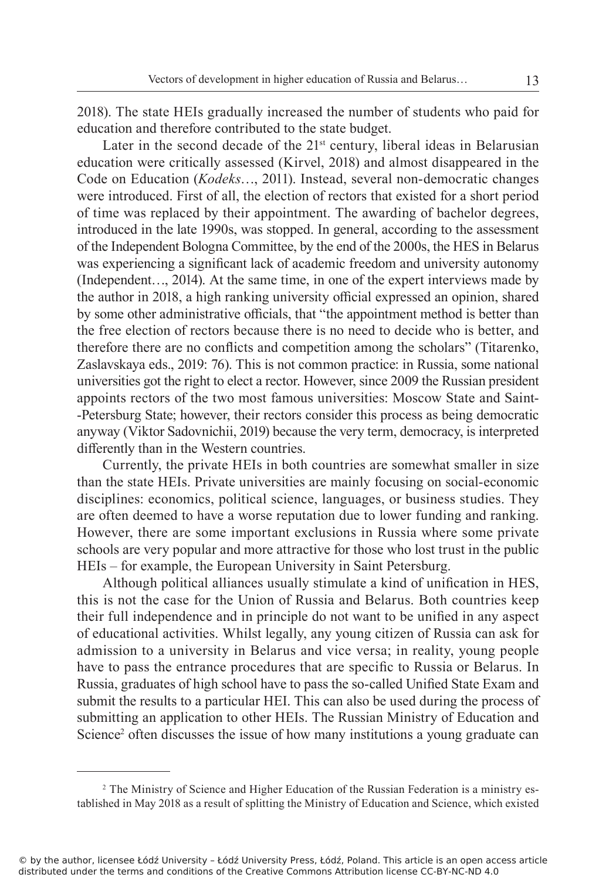2018). The state HEIs gradually increased the number of students who paid for education and therefore contributed to the state budget.

Later in the second decade of the  $21^{st}$  century, liberal ideas in Belarusian education were critically assessed (Kirvel, 2018) and almost disappeared in the Code on Education (*Kodeks*…, 2011). Instead, several non-democratic changes were introduced. First of all, the election of rectors that existed for a short period of time was replaced by their appointment. The awarding of bachelor degrees, introduced in the late 1990s, was stopped. In general, according to the assessment of the Independent Bologna Committee, by the end of the 2000s, the HES in Belarus was experiencing a significant lack of academic freedom and university autonomy (Independent…, 2014). At the same time, in one of the expert interviews made by the author in 2018, a high ranking university official expressed an opinion, shared by some other administrative officials, that "the appointment method is better than the free election of rectors because there is no need to decide who is better, and therefore there are no conflicts and competition among the scholars" (Titarenko, Zaslavskaya eds., 2019: 76). This is not common practice: in Russia, some national universities got the right to elect a rector. However, since 2009 the Russian president appoints rectors of the two most famous universities: Moscow State and Saint- -Petersburg State; however, their rectors consider this process as being democratic anyway (Viktor Sadovnichii, 2019) because the very term, democracy, is interpreted differently than in the Western countries.

Currently, the private HEIs in both countries are somewhat smaller in size than the state HEIs. Private universities are mainly focusing on social-economic disciplines: economics, political science, languages, or business studies. They are often deemed to have a worse reputation due to lower funding and ranking. However, there are some important exclusions in Russia where some private schools are very popular and more attractive for those who lost trust in the public HEIs – for example, the European University in Saint Petersburg.

Although political alliances usually stimulate a kind of unification in HES, this is not the case for the Union of Russia and Belarus. Both countries keep their full independence and in principle do not want to be unified in any aspect of educational activities. Whilst legally, any young citizen of Russia can ask for admission to a university in Belarus and vice versa; in reality, young people have to pass the entrance procedures that are specific to Russia or Belarus. In Russia, graduates of high school have to pass the so-called Unified State Exam and submit the results to a particular HEI. This can also be used during the process of submitting an application to other HEIs. The Russian Ministry of Education and Science<sup>2</sup> often discusses the issue of how many institutions a young graduate can

<sup>2</sup> The Ministry of Science and Higher Education of the Russian Federation is a ministry established in May 2018 as a result of splitting the Ministry of Education and Science, which existed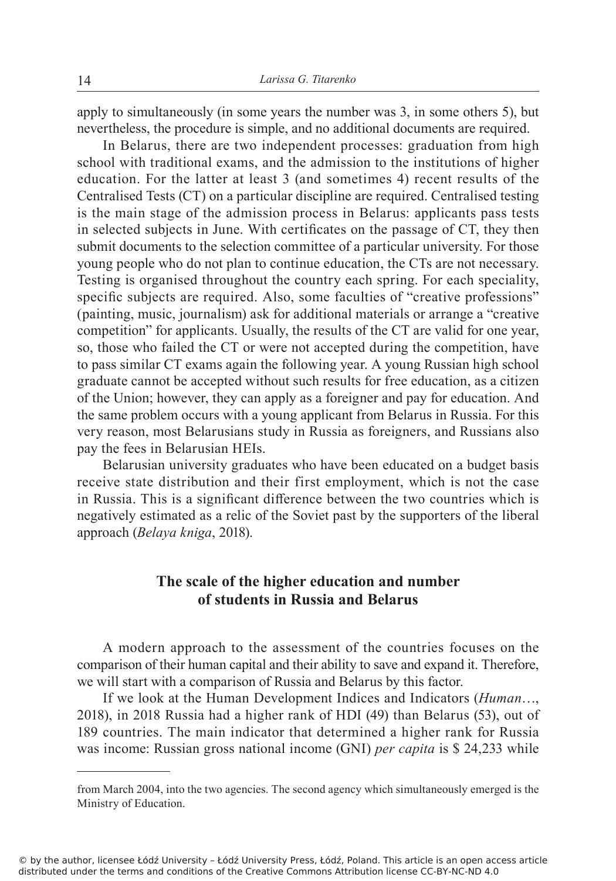apply to simultaneously (in some years the number was 3, in some others 5), but nevertheless, the procedure is simple, and no additional documents are required.

In Belarus, there are two independent processes: graduation from high school with traditional exams, and the admission to the institutions of higher education. For the latter at least 3 (and sometimes 4) recent results of the Centralised Tests (CT) on a particular discipline are required. Centralised testing is the main stage of the admission process in Belarus: applicants pass tests in selected subjects in June. With certificates on the passage of CT, they then submit documents to the selection committee of a particular university. For those young people who do not plan to continue education, the CTs are not necessary. Testing is organised throughout the country each spring. For each speciality, specific subjects are required. Also, some faculties of "creative professions" (painting, music, journalism) ask for additional materials or arrange a "creative competition" for applicants. Usually, the results of the CT are valid for one year, so, those who failed the CT or were not accepted during the competition, have to pass similar CT exams again the following year. A young Russian high school graduate cannot be accepted without such results for free education, as a citizen of the Union; however, they can apply as a foreigner and pay for education. And the same problem occurs with a young applicant from Belarus in Russia. For this very reason, most Belarusians study in Russia as foreigners, and Russians also pay the fees in Belarusian HEIs.

Belarusian university graduates who have been educated on a budget basis receive state distribution and their first employment, which is not the case in Russia. This is a significant difference between the two countries which is negatively estimated as a relic of the Soviet past by the supporters of the liberal approach (*Belaya kniga*, 2018).

# **The scale of the higher education and number of students in Russia and Belarus**

A modern approach to the assessment of the countries focuses on the comparison of their human capital and their ability to save and expand it. Therefore, we will start with a comparison of Russia and Belarus by this factor.

If we look at the Human Development Indices and Indicators (*Human*…, 2018), in 2018 Russia had a higher rank of HDI (49) than Belarus (53), out of 189 countries. The main indicator that determined a higher rank for Russia was income: Russian gross national income (GNI) *per capita* is \$ 24,233 while

from March 2004, into the two agencies. The second agency which simultaneously emerged is the Ministry of Education.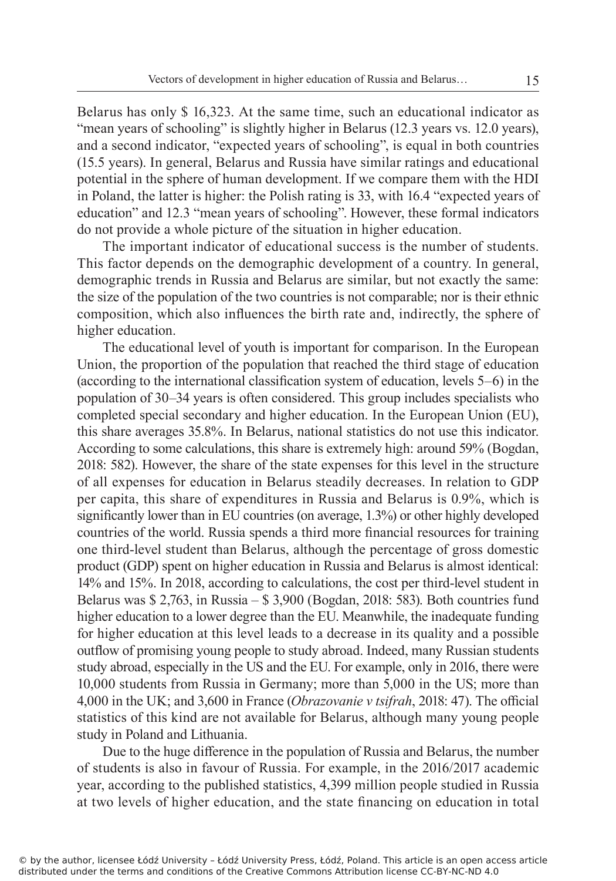Belarus has only \$ 16,323. At the same time, such an educational indicator as "mean years of schooling" is slightly higher in Belarus (12.3 years vs. 12.0 years), and a second indicator, "expected years of schooling", is equal in both countries (15.5 years). In general, Belarus and Russia have similar ratings and educational potential in the sphere of human development. If we compare them with the HDI in Poland, the latter is higher: the Polish rating is 33, with 16.4 "expected years of education" and 12.3 "mean years of schooling". However, these formal indicators do not provide a whole picture of the situation in higher education.

The important indicator of educational success is the number of students. This factor depends on the demographic development of a country. In general, demographic trends in Russia and Belarus are similar, but not exactly the same: the size of the population of the two countries is not comparable; nor is their ethnic composition, which also influences the birth rate and, indirectly, the sphere of higher education.

The educational level of youth is important for comparison. In the European Union, the proportion of the population that reached the third stage of education (according to the international classification system of education, levels 5–6) in the population of 30–34 years is often considered. This group includes specialists who completed special secondary and higher education. In the European Union (EU), this share averages 35.8%. In Belarus, national statistics do not use this indicator. According to some calculations, this share is extremely high: around 59% (Bogdan, 2018: 582). However, the share of the state expenses for this level in the structure of all expenses for education in Belarus steadily decreases. In relation to GDP per capita, this share of expenditures in Russia and Belarus is 0.9%, which is significantly lower than in EU countries (on average, 1.3%) or other highly developed countries of the world. Russia spends a third more financial resources for training one third-level student than Belarus, although the percentage of gross domestic product (GDP) spent on higher education in Russia and Belarus is almost identical: 14% and 15%. In 2018, according to calculations, the cost per third-level student in Belarus was \$ 2,763, in Russia – \$ 3,900 (Bogdan, 2018: 583). Both countries fund higher education to a lower degree than the EU. Meanwhile, the inadequate funding for higher education at this level leads to a decrease in its quality and a possible outflow of promising young people to study abroad. Indeed, many Russian students study abroad, especially in the US and the EU. For example, only in 2016, there were 10,000 students from Russia in Germany; more than 5,000 in the US; more than 4,000 in the UK; and 3,600 in France (*Obrazovanie v tsifrah*, 2018: 47). The official statistics of this kind are not available for Belarus, although many young people study in Poland and Lithuania.

Due to the huge difference in the population of Russia and Belarus, the number of students is also in favour of Russia. For example, in the 2016/2017 academic year, according to the published statistics, 4,399 million people studied in Russia at two levels of higher education, and the state financing on education in total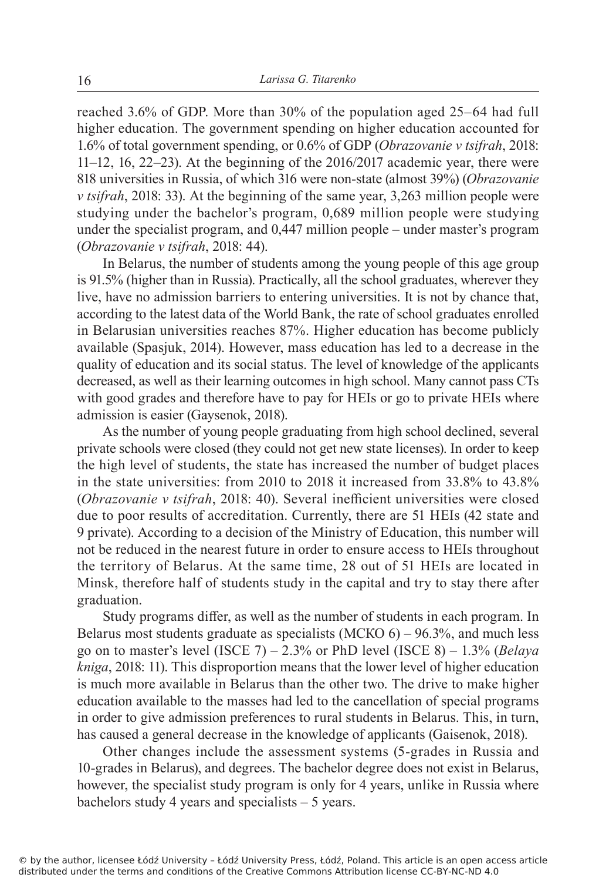reached 3.6% of GDP. More than 30% of the population aged 25–64 had full higher education. The government spending on higher education accounted for 1.6% of total government spending, or 0.6% of GDP (*Obrazovanie v tsifrah*, 2018: 11–12, 16, 22–23). At the beginning of the 2016/2017 academic year, there were 818 universities in Russia, of which 316 were non-state (almost 39%) (*Obrazovanie v tsifrah*, 2018: 33). At the beginning of the same year, 3,263 million people were studying under the bachelor's program, 0,689 million people were studying under the specialist program, and 0,447 million people – under master's program (*Obrazovanie v tsifrah*, 2018: 44).

In Belarus, the number of students among the young people of this age group is 91.5% (higher than in Russia). Practically, all the school graduates, wherever they live, have no admission barriers to entering universities. It is not by chance that, according to the latest data of the World Bank, the rate of school graduates enrolled in Belarusian universities reaches 87%. Higher education has become publicly available (Spasjuk, 2014). However, mass education has led to a decrease in the quality of education and its social status. The level of knowledge of the applicants decreased, as well as their learning outcomes in high school. Many cannot pass CTs with good grades and therefore have to pay for HEIs or go to private HEIs where admission is easier (Gaysenok, 2018).

As the number of young people graduating from high school declined, several private schools were closed (they could not get new state licenses). In order to keep the high level of students, the state has increased the number of budget places in the state universities: from 2010 to 2018 it increased from 33.8% to 43.8% (*Obrazovanie v tsifrah*, 2018: 40). Several inefficient universities were closed due to poor results of accreditation. Currently, there are 51 HEIs (42 state and 9 private). According to a decision of the Ministry of Education, this number will not be reduced in the nearest future in order to ensure access to HEIs throughout the territory of Belarus. At the same time, 28 out of 51 HEIs are located in Minsk, therefore half of students study in the capital and try to stay there after graduation.

Study programs differ, as well as the number of students in each program. In Belarus most students graduate as specialists  $(MCKO 6) - 96.3\%$ , and much less go on to master's level (ISCE 7) – 2.3% or PhD level (ISCE 8) – 1.3% (*Belaya kniga*, 2018: 11). This disproportion means that the lower level of higher education is much more available in Belarus than the other two. The drive to make higher education available to the masses had led to the cancellation of special programs in order to give admission preferences to rural students in Belarus. This, in turn, has caused a general decrease in the knowledge of applicants (Gaisenok, 2018).

Other changes include the assessment systems (5-grades in Russia and 10-grades in Belarus), and degrees. The bachelor degree does not exist in Belarus, however, the specialist study program is only for 4 years, unlike in Russia where bachelors study 4 years and specialists – 5 years.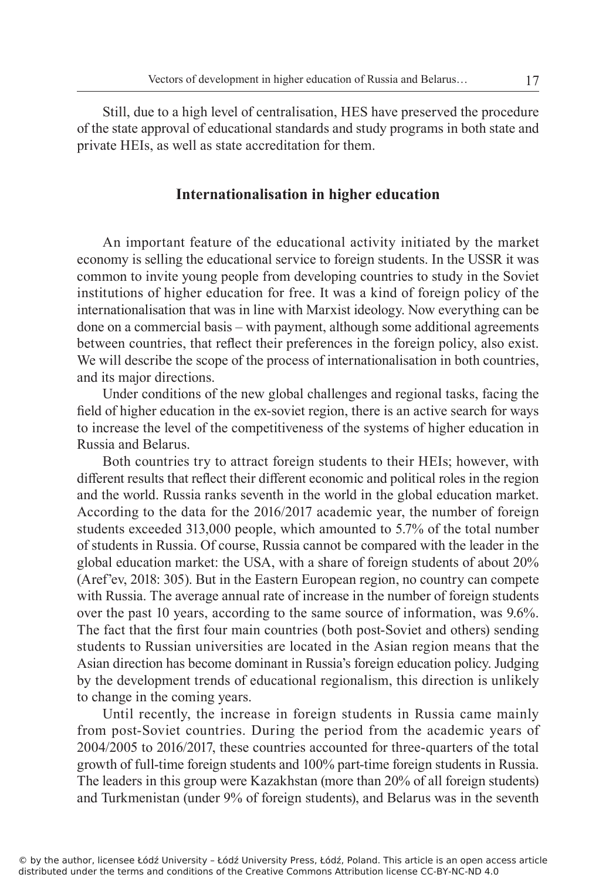Still, due to a high level of centralisation, HES have preserved the procedure of the state approval of educational standards and study programs in both state and private HEIs, as well as state accreditation for them.

### **Internationalisation in higher education**

An important feature of the educational activity initiated by the market economy is selling the educational service to foreign students. In the USSR it was common to invite young people from developing countries to study in the Soviet institutions of higher education for free. It was a kind of foreign policy of the internationalisation that was in line with Marxist ideology. Now everything can be done on a commercial basis – with payment, although some additional agreements between countries, that reflect their preferences in the foreign policy, also exist. We will describe the scope of the process of internationalisation in both countries, and its major directions.

Under conditions of the new global challenges and regional tasks, facing the field of higher education in the ex-soviet region, there is an active search for ways to increase the level of the competitiveness of the systems of higher education in Russia and Belarus.

Both countries try to attract foreign students to their HEIs; however, with different results that reflect their different economic and political roles in the region and the world. Russia ranks seventh in the world in the global education market. According to the data for the 2016/2017 academic year, the number of foreign students exceeded 313,000 people, which amounted to 5.7% of the total number of students in Russia. Of course, Russia cannot be compared with the leader in the global education market: the USA, with a share of foreign students of about 20% (Aref'ev, 2018: 305). But in the Eastern European region, no country can compete with Russia. The average annual rate of increase in the number of foreign students over the past 10 years, according to the same source of information, was 9.6%. The fact that the first four main countries (both post-Soviet and others) sending students to Russian universities are located in the Asian region means that the Asian direction has become dominant in Russia's foreign education policy. Judging by the development trends of educational regionalism, this direction is unlikely to change in the coming years.

Until recently, the increase in foreign students in Russia came mainly from post-Soviet countries. During the period from the academic years of 2004/2005 to 2016/2017, these countries accounted for three-quarters of the total growth of full-time foreign students and 100% part-time foreign students in Russia. The leaders in this group were Kazakhstan (more than 20% of all foreign students) and Turkmenistan (under 9% of foreign students), and Belarus was in the seventh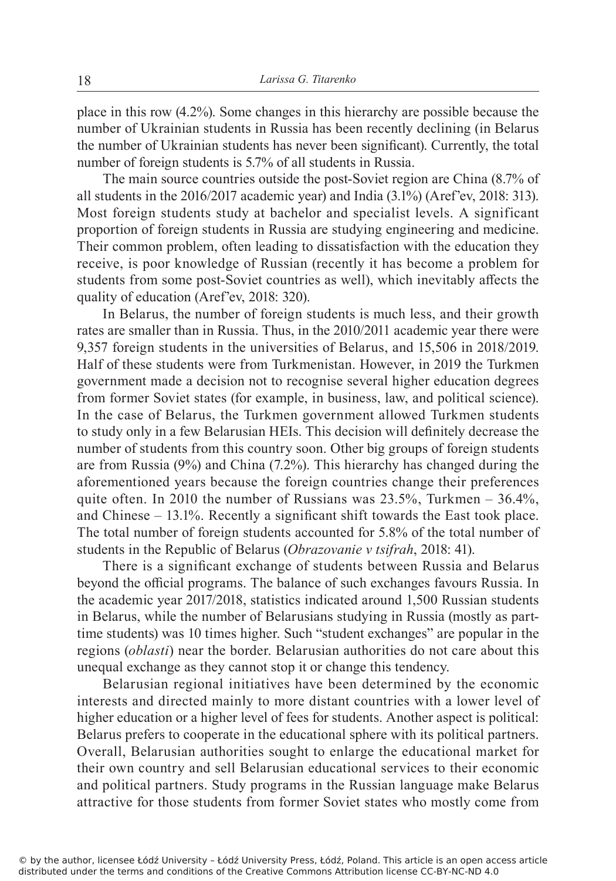place in this row (4.2%). Some changes in this hierarchy are possible because the number of Ukrainian students in Russia has been recently declining (in Belarus the number of Ukrainian students has never been significant). Currently, the total number of foreign students is 5.7% of all students in Russia.

The main source countries outside the post-Soviet region are China (8.7% of all students in the 2016/2017 academic year) and India (3.1%) (Aref'ev, 2018: 313). Most foreign students study at bachelor and specialist levels. A significant proportion of foreign students in Russia are studying engineering and medicine. Their common problem, often leading to dissatisfaction with the education they receive, is poor knowledge of Russian (recently it has become a problem for students from some post-Soviet countries as well), which inevitably affects the quality of education (Aref'ev, 2018: 320).

In Belarus, the number of foreign students is much less, and their growth rates are smaller than in Russia. Thus, in the 2010/2011 academic year there were 9,357 foreign students in the universities of Belarus, and 15,506 in 2018/2019. Half of these students were from Turkmenistan. However, in 2019 the Turkmen government made a decision not to recognise several higher education degrees from former Soviet states (for example, in business, law, and political science). In the case of Belarus, the Turkmen government allowed Turkmen students to study only in a few Belarusian HEIs. This decision will definitely decrease the number of students from this country soon. Other big groups of foreign students are from Russia (9%) and China (7.2%). This hierarchy has changed during the aforementioned years because the foreign countries change their preferences quite often. In 2010 the number of Russians was  $23.5\%$ , Turkmen –  $36.4\%$ , and Chinese – 13.1%. Recently a significant shift towards the East took place. The total number of foreign students accounted for 5.8% of the total number of students in the Republic of Belarus (*Obrazovanie v tsifrah*, 2018: 41).

There is a significant exchange of students between Russia and Belarus beyond the official programs. The balance of such exchanges favours Russia. In the academic year 2017/2018, statistics indicated around 1,500 Russian students in Belarus, while the number of Belarusians studying in Russia (mostly as parttime students) was 10 times higher. Such "student exchanges" are popular in the regions (*oblasti*) near the border. Belarusian authorities do not care about this unequal exchange as they cannot stop it or change this tendency.

Belarusian regional initiatives have been determined by the economic interests and directed mainly to more distant countries with a lower level of higher education or a higher level of fees for students. Another aspect is political: Belarus prefers to cooperate in the educational sphere with its political partners. Overall, Belarusian authorities sought to enlarge the educational market for their own country and sell Belarusian educational services to their economic and political partners. Study programs in the Russian language make Belarus attractive for those students from former Soviet states who mostly come from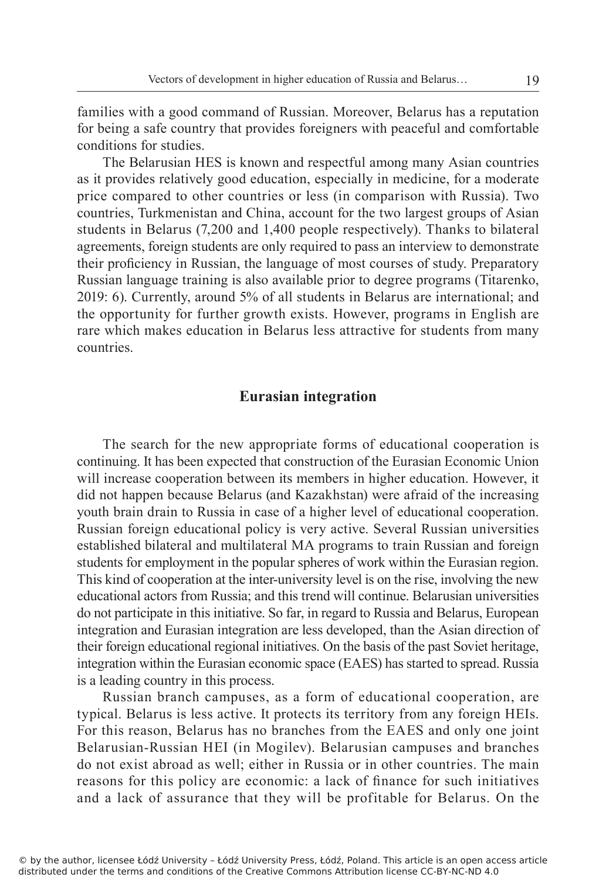families with a good command of Russian. Moreover, Belarus has a reputation for being a safe country that provides foreigners with peaceful and comfortable conditions for studies.

The Belarusian HES is known and respectful among many Asian countries as it provides relatively good education, especially in medicine, for a moderate price compared to other countries or less (in comparison with Russia). Two countries, Turkmenistan and China, account for the two largest groups of Asian students in Belarus (7,200 and 1,400 people respectively). Thanks to bilateral agreements, foreign students are only required to pass an interview to demonstrate their proficiency in Russian, the language of most courses of study. Preparatory Russian language training is also available prior to degree programs (Titarenko, 2019: 6). Currently, around 5% of all students in Belarus are international; and the opportunity for further growth exists. However, programs in English are rare which makes education in Belarus less attractive for students from many countries.

#### **Eurasian integration**

The search for the new appropriate forms of educational cooperation is continuing. It has been expected that construction of the Eurasian Economic Union will increase cooperation between its members in higher education. However, it did not happen because Belarus (and Kazakhstan) were afraid of the increasing youth brain drain to Russia in case of a higher level of educational cooperation. Russian foreign educational policy is very active. Several Russian universities established bilateral and multilateral MA programs to train Russian and foreign students for employment in the popular spheres of work within the Eurasian region. This kind of cooperation at the inter-university level is on the rise, involving the new educational actors from Russia; and this trend will continue. Belarusian universities do not participate in this initiative. So far, in regard to Russia and Belarus, European integration and Eurasian integration are less developed, than the Asian direction of their foreign educational regional initiatives. On the basis of the past Soviet heritage, integration within the Eurasian economic space (EAES) has started to spread. Russia is a leading country in this process.

Russian branch campuses, as a form of educational cooperation, are typical. Belarus is less active. It protects its territory from any foreign HEIs. For this reason, Belarus has no branches from the EAES and only one joint Belarusian-Russian HEI (in Mogilev). Belarusian campuses and branches do not exist abroad as well; either in Russia or in other countries. The main reasons for this policy are economic: a lack of finance for such initiatives and a lack of assurance that they will be profitable for Belarus. On the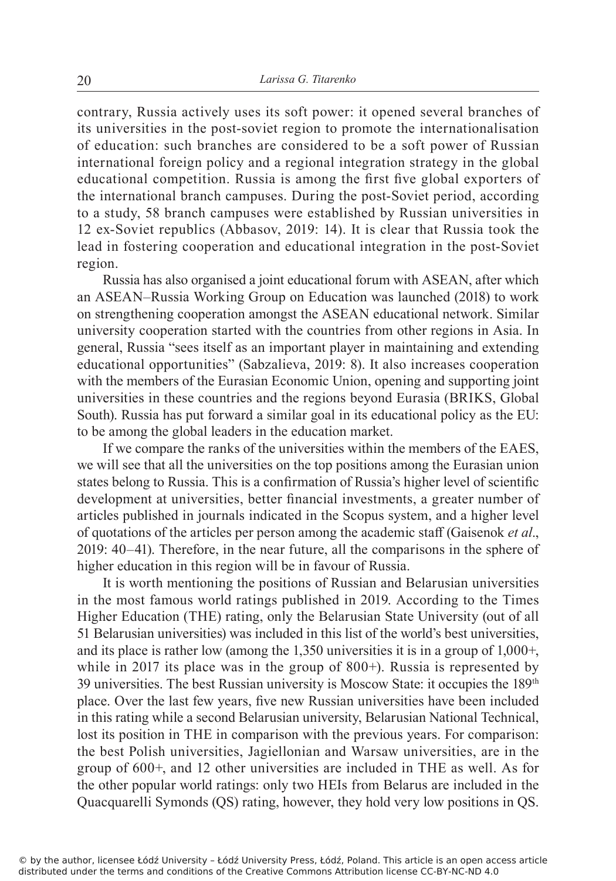contrary, Russia actively uses its soft power: it opened several branches of its universities in the post-soviet region to promote the internationalisation of education: such branches are considered to be a soft power of Russian international foreign policy and a regional integration strategy in the global educational competition. Russia is among the first five global exporters of the international branch campuses. During the post-Soviet period, according to a study, 58 branch campuses were established by Russian universities in 12 ex-Soviet republics (Abbasov, 2019: 14). It is clear that Russia took the lead in fostering cooperation and educational integration in the post-Soviet region.

Russia has also organised a joint educational forum with ASEAN, after which an ASEAN–Russia Working Group on Education was launched (2018) to work on strengthening cooperation amongst the ASEAN educational network. Similar university cooperation started with the countries from other regions in Asia. In general, Russia "sees itself as an important player in maintaining and extending educational opportunities" (Sabzalieva, 2019: 8). It also increases cooperation with the members of the Eurasian Economic Union, opening and supporting joint universities in these countries and the regions beyond Eurasia (BRIKS, Global South). Russia has put forward a similar goal in its educational policy as the EU: to be among the global leaders in the education market.

If we compare the ranks of the universities within the members of the EAES, we will see that all the universities on the top positions among the Eurasian union states belong to Russia. This is a confirmation of Russia's higher level of scientific development at universities, better financial investments, a greater number of articles published in journals indicated in the Scopus system, and a higher level of quotations of the articles per person among the academic staff (Gaisenok *et al*., 2019: 40–41). Therefore, in the near future, all the comparisons in the sphere of higher education in this region will be in favour of Russia.

It is worth mentioning the positions of Russian and Belarusian universities in the most famous world ratings published in 2019. According to the Times Higher Education (THE) rating, only the Belarusian State University (out of all 51 Belarusian universities) was included in this list of the world's best universities, and its place is rather low (among the 1,350 universities it is in a group of 1,000+, while in 2017 its place was in the group of 800+). Russia is represented by 39 universities. The best Russian university is Moscow State: it occupies the 189th place. Over the last few years, five new Russian universities have been included in this rating while a second Belarusian university, Belarusian National Technical, lost its position in THE in comparison with the previous years. For comparison: the best Polish universities, Jagiellonian and Warsaw universities, are in the group of 600+, and 12 other universities are included in THE as well. As for the other popular world ratings: only two HEIs from Belarus are included in the Quacquarelli Symonds (QS) rating, however, they hold very low positions in QS.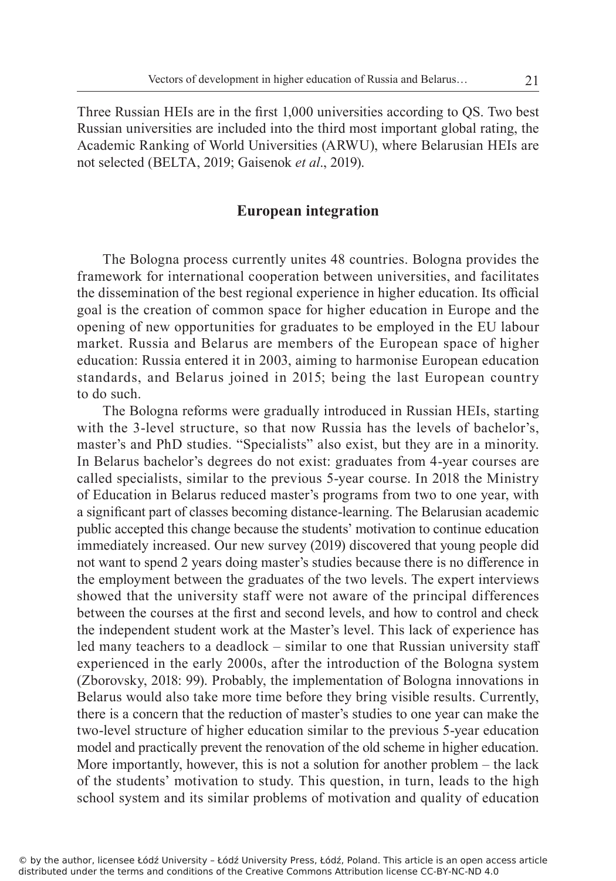Three Russian HEIs are in the first 1,000 universities according to QS. Two best Russian universities are included into the third most important global rating, the Academic Ranking of World Universities (ARWU), where Belarusian HEIs are not selected (BELTA, 2019; Gaisenok *et al*., 2019).

## **European integration**

The Bologna process currently unites 48 countries. Bologna provides the framework for international cooperation between universities, and facilitates the dissemination of the best regional experience in higher education. Its official goal is the creation of common space for higher education in Europe and the opening of new opportunities for graduates to be employed in the EU labour market. Russia and Belarus are members of the European space of higher education: Russia entered it in 2003, aiming to harmonise European education standards, and Belarus joined in 2015; being the last European country to do such.

The Bologna reforms were gradually introduced in Russian HEIs, starting with the 3-level structure, so that now Russia has the levels of bachelor's, master's and PhD studies. "Specialists" also exist, but they are in a minority. In Belarus bachelor's degrees do not exist: graduates from 4-year courses are called specialists, similar to the previous 5-year course. In 2018 the Ministry of Education in Belarus reduced master's programs from two to one year, with a significant part of classes becoming distance-learning. The Belarusian academic public accepted this change because the students' motivation to continue education immediately increased. Our new survey (2019) discovered that young people did not want to spend 2 years doing master's studies because there is no difference in the employment between the graduates of the two levels. The expert interviews showed that the university staff were not aware of the principal differences between the courses at the first and second levels, and how to control and check the independent student work at the Master's level. This lack of experience has led many teachers to a deadlock – similar to one that Russian university staff experienced in the early 2000s, after the introduction of the Bologna system (Zborovsky, 2018: 99). Probably, the implementation of Bologna innovations in Belarus would also take more time before they bring visible results. Currently, there is a concern that the reduction of master's studies to one year can make the two-level structure of higher education similar to the previous 5-year education model and practically prevent the renovation of the old scheme in higher education. More importantly, however, this is not a solution for another problem – the lack of the students' motivation to study. This question, in turn, leads to the high school system and its similar problems of motivation and quality of education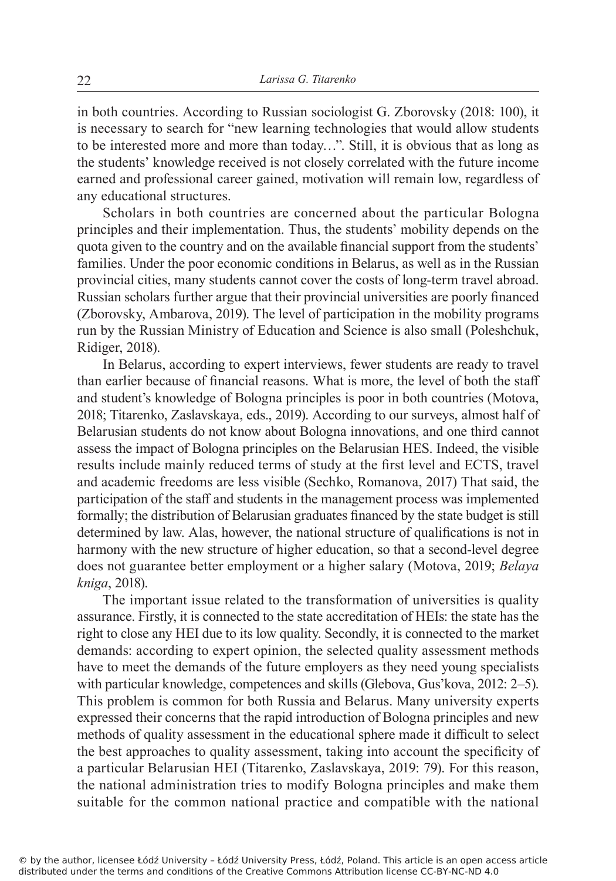in both countries. According to Russian sociologist G. Zborovsky (2018: 100), it is necessary to search for "new learning technologies that would allow students to be interested more and more than today…". Still, it is obvious that as long as the students' knowledge received is not closely correlated with the future income earned and professional career gained, motivation will remain low, regardless of any educational structures.

Scholars in both countries are concerned about the particular Bologna principles and their implementation. Thus, the students' mobility depends on the quota given to the country and on the available financial support from the students' families. Under the poor economic conditions in Belarus, as well as in the Russian provincial cities, many students cannot cover the costs of long-term travel abroad. Russian scholars further argue that their provincial universities are poorly financed (Zborovsky, Ambarova, 2019). The level of participation in the mobility programs run by the Russian Ministry of Education and Science is also small (Poleshchuk, Ridiger, 2018).

In Belarus, according to expert interviews, fewer students are ready to travel than earlier because of financial reasons. What is more, the level of both the staff and student's knowledge of Bologna principles is poor in both countries (Motova, 2018; Titarenko, Zaslavskaya, eds., 2019). According to our surveys, almost half of Belarusian students do not know about Bologna innovations, and one third cannot assess the impact of Bologna principles on the Belarusian HES. Indeed, the visible results include mainly reduced terms of study at the first level and ECTS, travel and academic freedoms are less visible (Sechko, Romanova, 2017) That said, the participation of the staff and students in the management process was implemented formally; the distribution of Belarusian graduates financed by the state budget is still determined by law. Alas, however, the national structure of qualifications is not in harmony with the new structure of higher education, so that a second-level degree does not guarantee better employment or a higher salary (Motova, 2019; *Belaya kniga*, 2018).

The important issue related to the transformation of universities is quality assurance. Firstly, it is connected to the state accreditation of HEIs: the state has the right to close any HEI due to its low quality. Secondly, it is connected to the market demands: according to expert opinion, the selected quality assessment methods have to meet the demands of the future employers as they need young specialists with particular knowledge, competences and skills (Glebova, Gus'kova, 2012: 2–5). This problem is common for both Russia and Belarus. Many university experts expressed their concerns that the rapid introduction of Bologna principles and new methods of quality assessment in the educational sphere made it difficult to select the best approaches to quality assessment, taking into account the specificity of a particular Belarusian HEI (Titarenko, Zaslavskaya, 2019: 79). For this reason, the national administration tries to modify Bologna principles and make them suitable for the common national practice and compatible with the national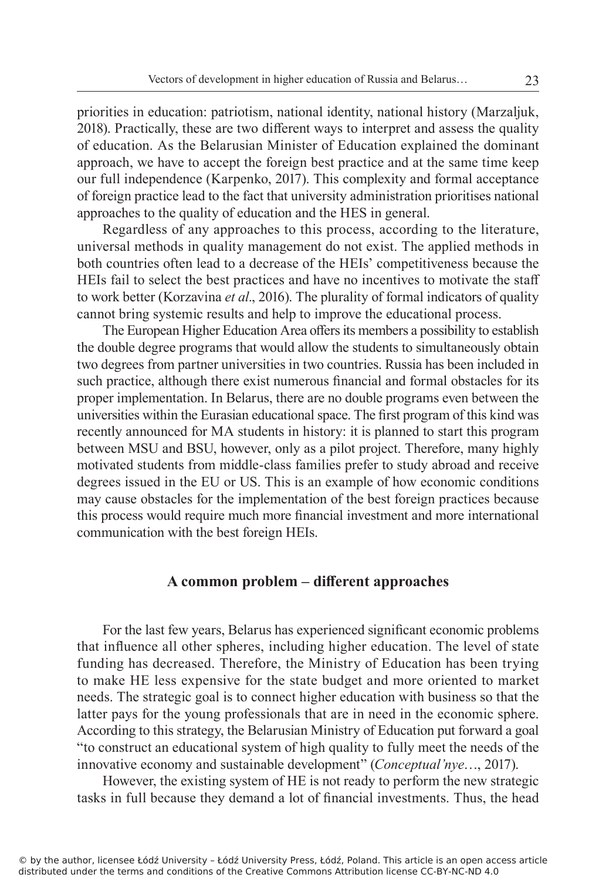priorities in education: patriotism, national identity, national history (Marzaljuk, 2018). Practically, these are two different ways to interpret and assess the quality of education. As the Belarusian Minister of Education explained the dominant approach, we have to accept the foreign best practice and at the same time keep our full independence (Karpenko, 2017). This complexity and formal acceptance of foreign practice lead to the fact that university administration prioritises national approaches to the quality of education and the HES in general.

Regardless of any approaches to this process, according to the literature, universal methods in quality management do not exist. The applied methods in both countries often lead to a decrease of the HEIs' competitiveness because the HEIs fail to select the best practices and have no incentives to motivate the staff to work better (Korzavina *et al*., 2016). The plurality of formal indicators of quality cannot bring systemic results and help to improve the educational process.

The European Higher Education Area offers its members a possibility to establish the double degree programs that would allow the students to simultaneously obtain two degrees from partner universities in two countries. Russia has been included in such practice, although there exist numerous financial and formal obstacles for its proper implementation. In Belarus, there are no double programs even between the universities within the Eurasian educational space. The first program of this kind was recently announced for MA students in history: it is planned to start this program between MSU and BSU, however, only as a pilot project. Therefore, many highly motivated students from middle-class families prefer to study abroad and receive degrees issued in the EU or US. This is an example of how economic conditions may cause obstacles for the implementation of the best foreign practices because this process would require much more financial investment and more international communication with the best foreign HEIs.

#### **A common problem – different approaches**

For the last few years, Belarus has experienced significant economic problems that influence all other spheres, including higher education. The level of state funding has decreased. Therefore, the Ministry of Education has been trying to make HE less expensive for the state budget and more oriented to market needs. The strategic goal is to connect higher education with business so that the latter pays for the young professionals that are in need in the economic sphere. According to this strategy, the Belarusian Ministry of Education put forward a goal "to construct an educational system of high quality to fully meet the needs of the innovative economy and sustainable development" (*Conceptual'nye*…, 2017).

However, the existing system of HE is not ready to perform the new strategic tasks in full because they demand a lot of financial investments. Thus, the head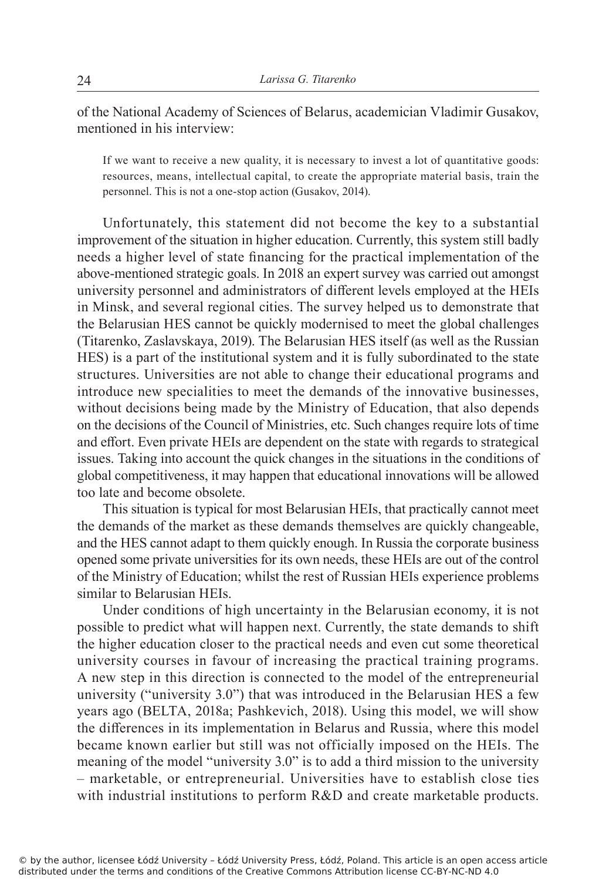of the National Academy of Sciences of Belarus, academician Vladimir Gusakov, mentioned in his interview:

If we want to receive a new quality, it is necessary to invest a lot of quantitative goods: resources, means, intellectual capital, to create the appropriate material basis, train the personnel. This is not a one-stop action (Gusakov, 2014).

Unfortunately, this statement did not become the key to a substantial improvement of the situation in higher education. Currently, this system still badly needs a higher level of state financing for the practical implementation of the above-mentioned strategic goals. In 2018 an expert survey was carried out amongst university personnel and administrators of different levels employed at the HEIs in Minsk, and several regional cities. The survey helped us to demonstrate that the Belarusian HES cannot be quickly modernised to meet the global challenges (Titarenko, Zaslavskaya, 2019). The Belarusian HES itself (as well as the Russian HES) is a part of the institutional system and it is fully subordinated to the state structures. Universities are not able to change their educational programs and introduce new specialities to meet the demands of the innovative businesses, without decisions being made by the Ministry of Education, that also depends on the decisions of the Council of Ministries, etc. Such changes require lots of time and effort. Even private HEIs are dependent on the state with regards to strategical issues. Taking into account the quick changes in the situations in the conditions of global competitiveness, it may happen that educational innovations will be allowed too late and become obsolete.

This situation is typical for most Belarusian HEIs, that practically cannot meet the demands of the market as these demands themselves are quickly changeable, and the HES cannot adapt to them quickly enough. In Russia the corporate business opened some private universities for its own needs, these HEIs are out of the control of the Ministry of Education; whilst the rest of Russian HEIs experience problems similar to Belarusian HEIs.

Under conditions of high uncertainty in the Belarusian economy, it is not possible to predict what will happen next. Currently, the state demands to shift the higher education closer to the practical needs and even cut some theoretical university courses in favour of increasing the practical training programs. A new step in this direction is connected to the model of the entrepreneurial university ("university 3.0") that was introduced in the Belarusian HES a few years ago (ВELTA, 2018a; Pashkevich, 2018). Using this model, we will show the differences in its implementation in Belarus and Russia, where this model became known earlier but still was not officially imposed on the HEIs. The meaning of the model "university 3.0" is to add a third mission to the university – marketable, or entrepreneurial. Universities have to establish close ties with industrial institutions to perform R&D and create marketable products.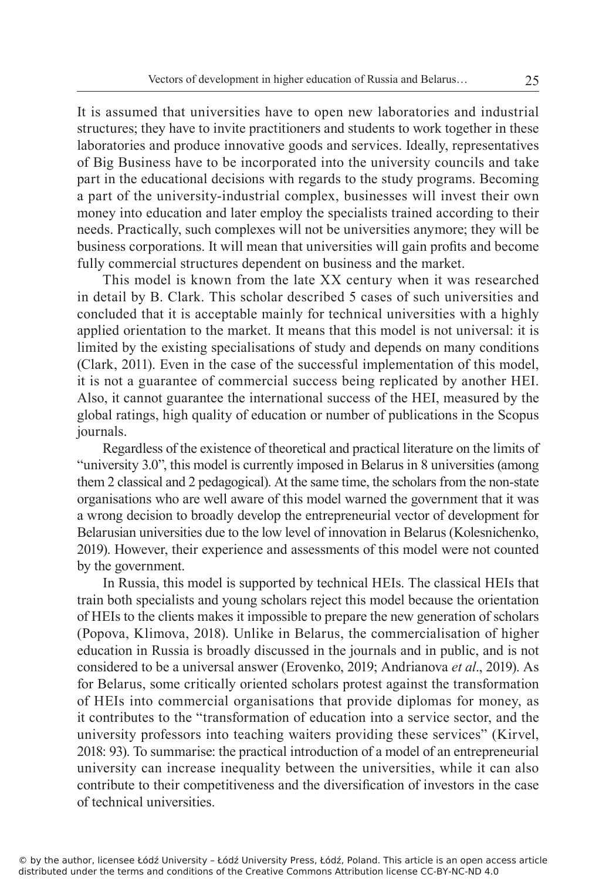It is assumed that universities have to open new laboratories and industrial structures; they have to invite practitioners and students to work together in these laboratories and produce innovative goods and services. Ideally, representatives of Big Business have to be incorporated into the university councils and take part in the educational decisions with regards to the study programs. Becoming a part of the university-industrial complex, businesses will invest their own money into education and later employ the specialists trained according to their needs. Practically, such complexes will not be universities anymore; they will be business corporations. It will mean that universities will gain profits and become fully commercial structures dependent on business and the market.

This model is known from the late XX century when it was researched in detail by B. Clark. This scholar described 5 cases of such universities and concluded that it is acceptable mainly for technical universities with a highly applied orientation to the market. It means that this model is not universal: it is limited by the existing specialisations of study and depends on many conditions (Clark, 2011). Even in the case of the successful implementation of this model, it is not a guarantee of commercial success being replicated by another HEI. Also, it cannot guarantee the international success of the HEI, measured by the global ratings, high quality of education or number of publications in the Scopus journals.

Regardless of the existence of theoretical and practical literature on the limits of "university 3.0", this model is currently imposed in Belarus in 8 universities (among them 2 classical and 2 pedagogical). At the same time, the scholars from the non-state organisations who are well aware of this model warned the government that it was a wrong decision to broadly develop the entrepreneurial vector of development for Belarusian universities due to the low level of innovation in Belarus (Kolesnichenko, 2019). However, their experience and assessments of this model were not counted by the government.

In Russia, this model is supported by technical HEIs. The classical HEIs that train both specialists and young scholars reject this model because the orientation of HEIs to the clients makes it impossible to prepare the new generation of scholars (Popova, Klimova, 2018). Unlike in Belarus, the commercialisation of higher education in Russia is broadly discussed in the journals and in public, and is not considered to be a universal answer (Erovenko, 2019; Andrianova *et al*., 2019). As for Belarus, some critically oriented scholars protest against the transformation of HEIs into commercial organisations that provide diplomas for money, as it contributes to the "transformation of education into a service sector, and the university professors into teaching waiters providing these services" (Kirvel, 2018: 93). To summarise: the practical introduction of a model of an entrepreneurial university can increase inequality between the universities, while it can also contribute to their competitiveness and the diversification of investors in the case of technical universities.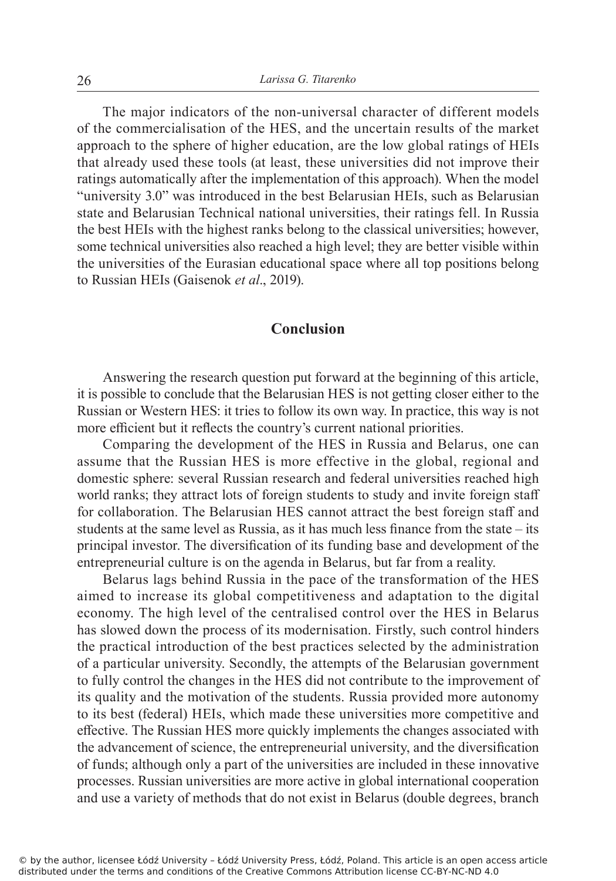The major indicators of the non-universal character of different models of the commercialisation of the HES, and the uncertain results of the market approach to the sphere of higher education, are the low global ratings of HEIs that already used these tools (at least, these universities did not improve their ratings automatically after the implementation of this approach). When the model "university 3.0" was introduced in the best Belarusian HEIs, such as Belarusian state and Belarusian Technical national universities, their ratings fell. In Russia the best HEIs with the highest ranks belong to the classical universities; however, some technical universities also reached a high level; they are better visible within the universities of the Eurasian educational space where all top positions belong to Russian HEIs (Gaisenok *et al*., 2019).

## **Conclusion**

Answering the research question put forward at the beginning of this article, it is possible to conclude that the Belarusian HES is not getting closer either to the Russian or Western HES: it tries to follow its own way. In practice, this way is not more efficient but it reflects the country's current national priorities.

Comparing the development of the HES in Russia and Belarus, one can assume that the Russian HES is more effective in the global, regional and domestic sphere: several Russian research and federal universities reached high world ranks; they attract lots of foreign students to study and invite foreign staff for collaboration. The Belarusian HES cannot attract the best foreign staff and students at the same level as Russia, as it has much less finance from the state – its principal investor. The diversification of its funding base and development of the entrepreneurial culture is on the agenda in Belarus, but far from a reality.

Belarus lags behind Russia in the pace of the transformation of the HES aimed to increase its global competitiveness and adaptation to the digital economy. The high level of the centralised control over the HES in Belarus has slowed down the process of its modernisation. Firstly, such control hinders the practical introduction of the best practices selected by the administration of a particular university. Secondly, the attempts of the Belarusian government to fully control the changes in the HES did not contribute to the improvement of its quality and the motivation of the students. Russia provided more autonomy to its best (federal) HEIs, which made these universities more competitive and effective. The Russian HES more quickly implements the changes associated with the advancement of science, the entrepreneurial university, and the diversification of funds; although only a part of the universities are included in these innovative processes. Russian universities are more active in global international cooperation and use a variety of methods that do not exist in Belarus (double degrees, branch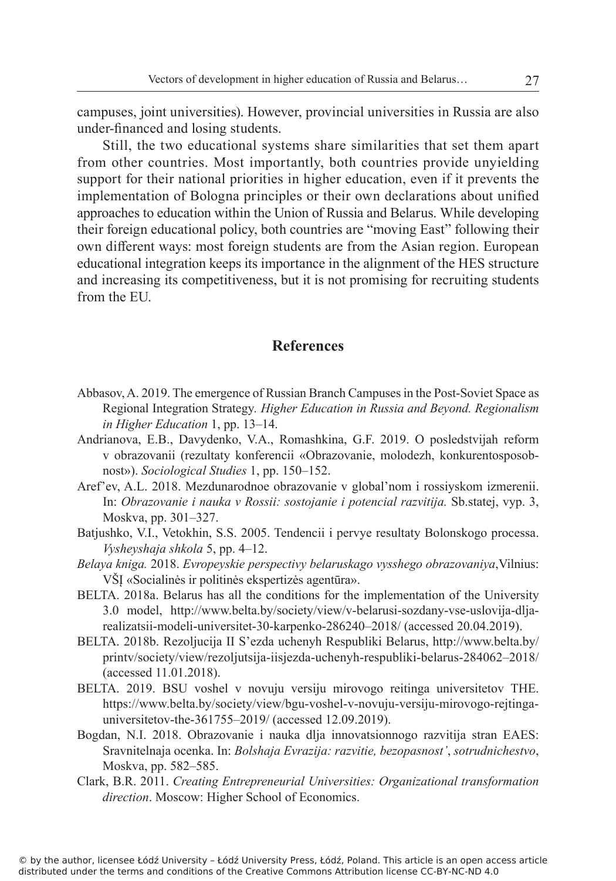campuses, joint universities). However, provincial universities in Russia are also under-financed and losing students.

Still, the two educational systems share similarities that set them apart from other countries. Most importantly, both countries provide unyielding support for their national priorities in higher education, even if it prevents the implementation of Bologna principles or their own declarations about unified approaches to education within the Union of Russia and Belarus. While developing their foreign educational policy, both countries are "moving East" following their own different ways: most foreign students are from the Asian region. European educational integration keeps its importance in the alignment of the HES structure and increasing its competitiveness, but it is not promising for recruiting students from the EU.

# **References**

- Abbasov, A. 2019. The emergence of Russian Branch Campuses in the Post-Soviet Space as Regional Integration Strategy*. Higher Education in Russia and Beyond. Regionalism in Higher Education* 1, pp. 13–14.
- Andrianova, E.B., Davydenko, V.A., Romashkina, G.F. 2019. O posledstvijah reform v obrazovanii (rezultaty konferencii «Obrazovanie, molodezh, konkurentosposobnost»). *Sociological Studies* 1, pp. 150–152.
- Aref'ev, A.L. 2018. Mezdunarodnoe obrazovanie v global'nom i rossiyskom izmerenii. In: *Obrazovanie i nauka v Rossii: sostojanie i potencial razvitija.* Sb.statej, vyp. 3, Moskva, pp. 301–327.
- Batjushko, V.I., Vetokhin, S.S. 2005. Tendencii i pervye resultaty Bolonskogo processa. *Vysheyshaja shkola* 5, pp. 4–12.
- *Belaya kniga.* 2018. *Evropeyskie perspectivy belaruskago vysshego obrazovaniya*,Vilnius: VŠĮ «Socialinės ir politinės ekspertizės agentūra».
- BELTA. 2018a. Belarus has all the conditions for the implementation of the University 3.0 model, http://www.belta.by/society/view/v-belarusi-sozdany-vse-uslovija-dljarealizatsii-modeli-universitet-30-karpenko-286240–2018/ (accessed 20.04.2019).
- BELTA. 2018b. Rezoljucija II S'ezda uchenyh Respubliki Belarus, http://www.belta.by/ printv/society/view/rezoljutsija-iisjezda-uchenyh-respubliki-belarus-284062–2018/ (accessed 11.01.2018).
- BELTA. 2019. BSU voshel v novuju versiju mirovogo reitinga universitetov THE. https://www.belta.by/society/view/bgu-voshel-v-novuju-versiju-mirovogo-rejtingauniversitetov-the-361755–2019/ (accessed 12.09.2019).
- Bogdan, N.I. 2018. Obrazovanie i nauka dlja innovatsionnogo razvitija stran EAES: Sravnitelnaja ocenka. In: *Bolshaja Evrazija: razvitie, bezopasnost'*, *sotrudnichestvo*, Moskva, pp. 582–585.
- Clark, B.R. 2011. *Creating Entrepreneurial Universities: Organizational transformation direction*. Moscow: Higher School of Economics.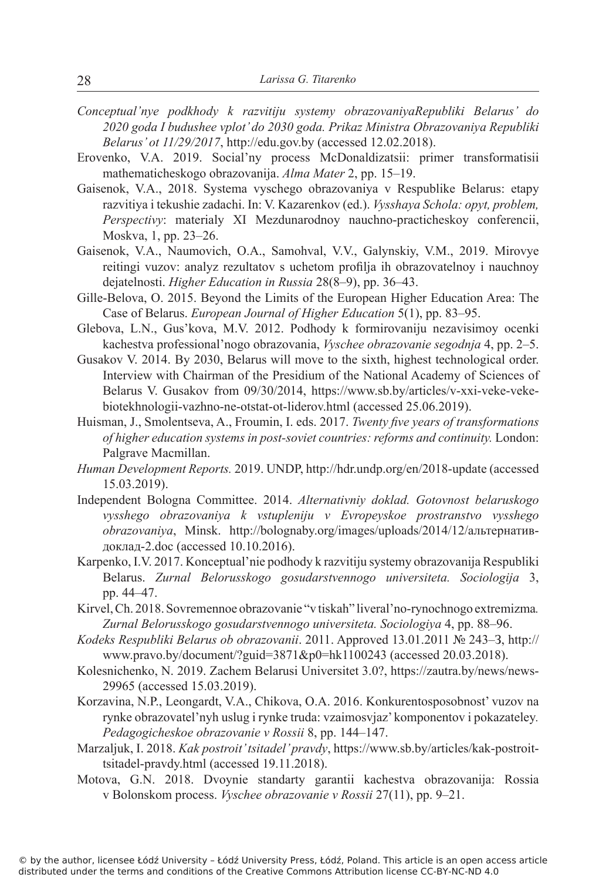- *Conceptual'nye podkhody k razvitiju systemy obrazovaniyaRepubliki Belarus' do 2020 goda I budushee vplot' do 2030 goda. Prikaz Ministra Obrazovaniya Republiki Belarus' ot 11/29/2017*, http://edu.gov.by (accessed 12.02.2018).
- Erovenko, V.A. 2019. Social'ny process McDonaldizatsii: primer transformatisii mathematicheskogo obrazovanija. *Alma Mater* 2, pp. 15–19.
- Gaisenok, V.A., 2018. Systema vyschego obrazovaniya v Respublike Belarus: etapy razvitiya i tekushie zadachi. In: V. Kazarenkov (ed.). *Vysshaya Schola: opyt, problem, Perspectivy*: materialy XI Mezdunarodnoy nauchno-practicheskoy conferencii, Moskva, 1, pp. 23–26.
- Gaisenok, V.A., Naumovich, O.A., Samohval, V.V., Galynskiy, V.M., 2019. Mirovye reitingi vuzov: analyz rezultatov s uchetom profilja ih obrazovatelnoy i nauchnoy dejatelnosti. *Higher Education in Russia* 28(8–9), pp. 36–43.
- Gille-Belova, O. 2015. Beyond the Limits of the European Higher Education Area: The Case of Belarus. *European Journal of Higher Education* 5(1), pp. 83–95.
- Glebova, L.N., Gus'kova, M.V. 2012. Podhody k formirovaniju nezavisimoy ocenki kachestva professional'nogo obrazovania, *Vyschee obrazovanie segodnja* 4, pp. 2–5.
- Gusakov V. 2014. By 2030, Belarus will move to the sixth, highest technological order. Interview with Chairman of the Presidium of the National Academy of Sciences of Belarus V. Gusakov from 09/30/2014, https://www.sb.by/articles/v-xxi-veke-vekebiotekhnologii-vazhno-ne-otstat-ot-liderov.html (accessed 25.06.2019).
- Huisman, J., Smolentseva, A., Froumin, I. eds. 2017. *Twenty five years of transformations of higher education systems in post-soviet countries: reforms and continuity.* London: Palgrave Macmillan.
- *Human Development Reports.* 2019. UNDP, http://hdr.undp.org/en/2018-update (accessed 15.03.2019).
- Independent Bologna Committee. 2014. *Alternativniy doklad. Gotovnost belaruskogo vysshego obrazovaniya k vstupleniju v Evropeyskoe prostranstvo vysshego obrazovaniya*, Minsk. http://bolognaby.org/images/uploads/2014/12/альтернативдоклад-2.doc (accessed 10.10.2016).
- Karpenko, I.V. 2017. Konceptual'nie podhody k razvitiju systemy obrazovanija Respubliki Belarus. *Zurnal Belorusskogo gosudarstvennogo universiteta. Sociologija* 3, pp. 44–47.
- Kirvel, Ch. 2018. Sovremennoe obrazovanie "v tiskah" liveral'no-rynochnogo extremizma*. Zurnal Belorusskogo gosudarstvennogo universiteta. Sociologiya* 4, pp. 88–96.
- *Kodeks Respubliki Belarus ob obrazovanii*. 2011. Approved 13.01.2011 № 243–З, http:// www.pravo.by/document/?guid=3871&p0=hk1100243 (accessed 20.03.2018).
- Kolesnichenko, N. 2019. Zachem Belarusi Universitet 3.0?, https://zautra.by/news/news-29965 (accessed 15.03.2019).
- Korzavina, N.P., Leongardt, V.A., Chikova, O.A. 2016. Konkurentosposobnost' vuzov na rynke obrazovatel'nyh uslug i rynke truda: vzaimosvjaz' komponentov i pokazateley*. Pedagogicheskoe obrazovanie v Rossii* 8, pp. 144–147.
- Marzaljuk, I. 2018. *Kak postroit' tsitadel' pravdy*, https://www.sb.by/articles/kak-postroittsitadel-pravdy.html (accessed 19.11.2018).
- Motova, G.N. 2018. Dvoynie standarty garantii kachestva obrazovanija: Rossia v Bolonskom process. *Vyschee obrazovanie v Rossii* 27(11), pp. 9–21.